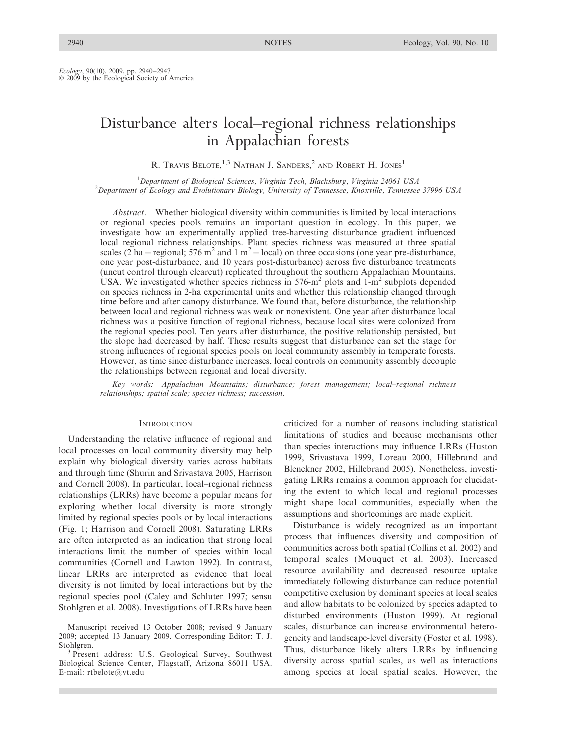Ecology, 90(10), 2009, pp. 2940–2947  $\odot$  2009 by the Ecological Society of America

# Disturbance alters local–regional richness relationships in Appalachian forests

R. TRAVIS BELOTE,<sup>1,3</sup> NATHAN J. SANDERS,<sup>2</sup> AND ROBERT H. JONES<sup>1</sup>

1<br>
<sup>1</sup>Department of Biological Sciences, Virginia Tech, Blacksburg, Virginia 24061 USA<br>
<sup>2</sup>Department of Ecology and Evolutionary Biology University of Tannessee, Knoxyille, Tannessee <sup>2</sup>Department of Ecology and Evolutionary Biology, University of Tennessee, Knoxville, Tennessee 37996 USA

Abstract. Whether biological diversity within communities is limited by local interactions or regional species pools remains an important question in ecology. In this paper, we investigate how an experimentally applied tree-harvesting disturbance gradient influenced local–regional richness relationships. Plant species richness was measured at three spatial scales (2 ha = regional; 576 m<sup>2</sup> and 1 m<sup>2</sup> = local) on three occasions (one year pre-disturbance, one year post-disturbance, and 10 years post-disturbance) across five disturbance treatments (uncut control through clearcut) replicated throughout the southern Appalachian Mountains, USA. We investigated whether species richness in  $576 \text{--} m^2$  plots and 1-m<sup>2</sup> subplots depended on species richness in 2-ha experimental units and whether this relationship changed through time before and after canopy disturbance. We found that, before disturbance, the relationship between local and regional richness was weak or nonexistent. One year after disturbance local richness was a positive function of regional richness, because local sites were colonized from the regional species pool. Ten years after disturbance, the positive relationship persisted, but the slope had decreased by half. These results suggest that disturbance can set the stage for strong influences of regional species pools on local community assembly in temperate forests. However, as time since disturbance increases, local controls on community assembly decouple the relationships between regional and local diversity.

Key words: Appalachian Mountains; disturbance; forest management; local–regional richness relationships; spatial scale; species richness; succession.

### **INTRODUCTION**

Understanding the relative influence of regional and local processes on local community diversity may help explain why biological diversity varies across habitats and through time (Shurin and Srivastava 2005, Harrison and Cornell 2008). In particular, local–regional richness relationships (LRRs) have become a popular means for exploring whether local diversity is more strongly limited by regional species pools or by local interactions (Fig. 1; Harrison and Cornell 2008). Saturating LRRs are often interpreted as an indication that strong local interactions limit the number of species within local communities (Cornell and Lawton 1992). In contrast, linear LRRs are interpreted as evidence that local diversity is not limited by local interactions but by the regional species pool (Caley and Schluter 1997; sensu Stohlgren et al. 2008). Investigations of LRRs have been

criticized for a number of reasons including statistical limitations of studies and because mechanisms other than species interactions may influence LRRs (Huston 1999, Srivastava 1999, Loreau 2000, Hillebrand and Blenckner 2002, Hillebrand 2005). Nonetheless, investigating LRRs remains a common approach for elucidating the extent to which local and regional processes might shape local communities, especially when the assumptions and shortcomings are made explicit.

Disturbance is widely recognized as an important process that influences diversity and composition of communities across both spatial (Collins et al. 2002) and temporal scales (Mouquet et al. 2003). Increased resource availability and decreased resource uptake immediately following disturbance can reduce potential competitive exclusion by dominant species at local scales and allow habitats to be colonized by species adapted to disturbed environments (Huston 1999). At regional scales, disturbance can increase environmental heterogeneity and landscape-level diversity (Foster et al. 1998). Thus, disturbance likely alters LRRs by influencing diversity across spatial scales, as well as interactions among species at local spatial scales. However, the

Manuscript received 13 October 2008; revised 9 January 2009; accepted 13 January 2009. Corresponding Editor: T. J. Stohlgren. <sup>3</sup> Present address: U.S. Geological Survey, Southwest

Biological Science Center, Flagstaff, Arizona 86011 USA. E-mail: rtbelote@vt.edu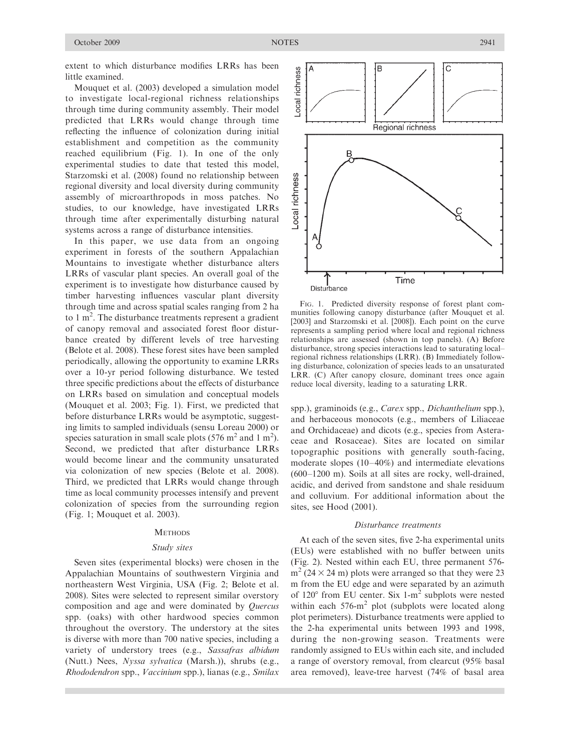extent to which disturbance modifies LRRs has been little examined.

Mouquet et al. (2003) developed a simulation model to investigate local-regional richness relationships through time during community assembly. Their model predicted that LRRs would change through time reflecting the influence of colonization during initial establishment and competition as the community reached equilibrium (Fig. 1). In one of the only experimental studies to date that tested this model, Starzomski et al. (2008) found no relationship between regional diversity and local diversity during community assembly of microarthropods in moss patches. No studies, to our knowledge, have investigated LRRs through time after experimentally disturbing natural systems across a range of disturbance intensities.

In this paper, we use data from an ongoing experiment in forests of the southern Appalachian Mountains to investigate whether disturbance alters LRRs of vascular plant species. An overall goal of the experiment is to investigate how disturbance caused by timber harvesting influences vascular plant diversity through time and across spatial scales ranging from 2 ha to  $1 \text{ m}^2$ . The disturbance treatments represent a gradient of canopy removal and associated forest floor disturbance created by different levels of tree harvesting (Belote et al. 2008). These forest sites have been sampled periodically, allowing the opportunity to examine LRRs over a 10-yr period following disturbance. We tested three specific predictions about the effects of disturbance on LRRs based on simulation and conceptual models (Mouquet et al. 2003; Fig. 1). First, we predicted that before disturbance LRRs would be asymptotic, suggesting limits to sampled individuals (sensu Loreau 2000) or species saturation in small scale plots (576 m<sup>2</sup> and 1 m<sup>2</sup>). Second, we predicted that after disturbance LRRs would become linear and the community unsaturated via colonization of new species (Belote et al. 2008). Third, we predicted that LRRs would change through time as local community processes intensify and prevent colonization of species from the surrounding region (Fig. 1; Mouquet et al. 2003).

# **METHODS**

# Study sites

Seven sites (experimental blocks) were chosen in the Appalachian Mountains of southwestern Virginia and northeastern West Virginia, USA (Fig. 2; Belote et al. 2008). Sites were selected to represent similar overstory composition and age and were dominated by Quercus spp. (oaks) with other hardwood species common throughout the overstory. The understory at the sites is diverse with more than 700 native species, including a variety of understory trees (e.g., Sassafras albidum (Nutt.) Nees, Nyssa sylvatica (Marsh.)), shrubs (e.g., Rhododendron spp., Vaccinium spp.), lianas (e.g., Smilax



FIG. 1. Predicted diversity response of forest plant communities following canopy disturbance (after Mouquet et al. [2003] and Starzomski et al. [2008]). Each point on the curve represents a sampling period where local and regional richness relationships are assessed (shown in top panels). (A) Before disturbance, strong species interactions lead to saturating local– regional richness relationships (LRR). (B) Immediately following disturbance, colonization of species leads to an unsaturated LRR. (C) After canopy closure, dominant trees once again reduce local diversity, leading to a saturating LRR.

spp.), graminoids (e.g., Carex spp., Dichanthelium spp.), and herbaceous monocots (e.g., members of Liliaceae and Orchidaceae) and dicots (e.g., species from Asteraceae and Rosaceae). Sites are located on similar topographic positions with generally south-facing, moderate slopes (10–40%) and intermediate elevations (600–1200 m). Soils at all sites are rocky, well-drained, acidic, and derived from sandstone and shale residuum and colluvium. For additional information about the sites, see Hood (2001).

#### Disturbance treatments

At each of the seven sites, five 2-ha experimental units (EUs) were established with no buffer between units (Fig. 2). Nested within each EU, three permanent 576  $m<sup>2</sup>$  (24  $\times$  24 m) plots were arranged so that they were 23 m from the EU edge and were separated by an azimuth of  $120^{\circ}$  from EU center. Six 1-m<sup>2</sup> subplots were nested within each  $576\text{-m}^2$  plot (subplots were located along plot perimeters). Disturbance treatments were applied to the 2-ha experimental units between 1993 and 1998, during the non-growing season. Treatments were randomly assigned to EUs within each site, and included a range of overstory removal, from clearcut (95% basal area removed), leave-tree harvest (74% of basal area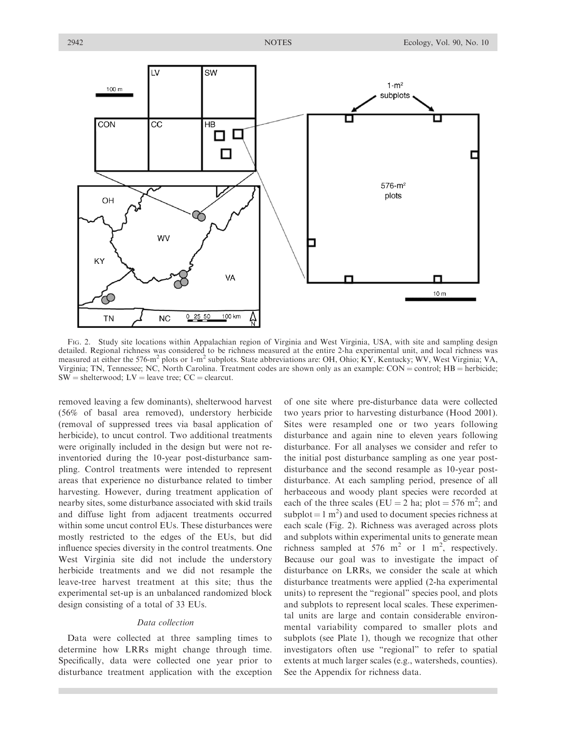

FIG. 2. Study site locations within Appalachian region of Virginia and West Virginia, USA, with site and sampling design detailed. Regional richness was considered to be richness measured at the entire 2-ha experimental unit, and local richness was measured at either the 576-m<sup>2</sup> plots or 1-m<sup>2</sup> subplots. State abbreviations are: OH, Ohio;  $\hat{K}Y$ , Kentucky; WV, West Virginia; VA, Virginia; TN, Tennessee; NC, North Carolina. Treatment codes are shown only as an example:  $CON = control$ ;  $HB = herbicide$ ;  $SW =$  shelterwood;  $LV =$  leave tree;  $CC =$  clearcut.

removed leaving a few dominants), shelterwood harvest (56% of basal area removed), understory herbicide (removal of suppressed trees via basal application of herbicide), to uncut control. Two additional treatments were originally included in the design but were not reinventoried during the 10-year post-disturbance sampling. Control treatments were intended to represent areas that experience no disturbance related to timber harvesting. However, during treatment application of nearby sites, some disturbance associated with skid trails and diffuse light from adjacent treatments occurred within some uncut control EUs. These disturbances were mostly restricted to the edges of the EUs, but did influence species diversity in the control treatments. One West Virginia site did not include the understory herbicide treatments and we did not resample the leave-tree harvest treatment at this site; thus the experimental set-up is an unbalanced randomized block design consisting of a total of 33 EUs.

# Data collection

Data were collected at three sampling times to determine how LRRs might change through time. Specifically, data were collected one year prior to disturbance treatment application with the exception of one site where pre-disturbance data were collected two years prior to harvesting disturbance (Hood 2001). Sites were resampled one or two years following disturbance and again nine to eleven years following disturbance. For all analyses we consider and refer to the initial post disturbance sampling as one year postdisturbance and the second resample as 10-year postdisturbance. At each sampling period, presence of all herbaceous and woody plant species were recorded at each of the three scales (EU = 2 ha; plot = 576 m<sup>2</sup>; and subplot =  $1 \text{ m}^2$ ) and used to document species richness at each scale (Fig. 2). Richness was averaged across plots and subplots within experimental units to generate mean richness sampled at  $576 \text{ m}^2$  or 1 m<sup>2</sup>, respectively. Because our goal was to investigate the impact of disturbance on LRRs, we consider the scale at which disturbance treatments were applied (2-ha experimental units) to represent the ''regional'' species pool, and plots and subplots to represent local scales. These experimental units are large and contain considerable environmental variability compared to smaller plots and subplots (see Plate 1), though we recognize that other investigators often use ''regional'' to refer to spatial extents at much larger scales (e.g., watersheds, counties). See the Appendix for richness data.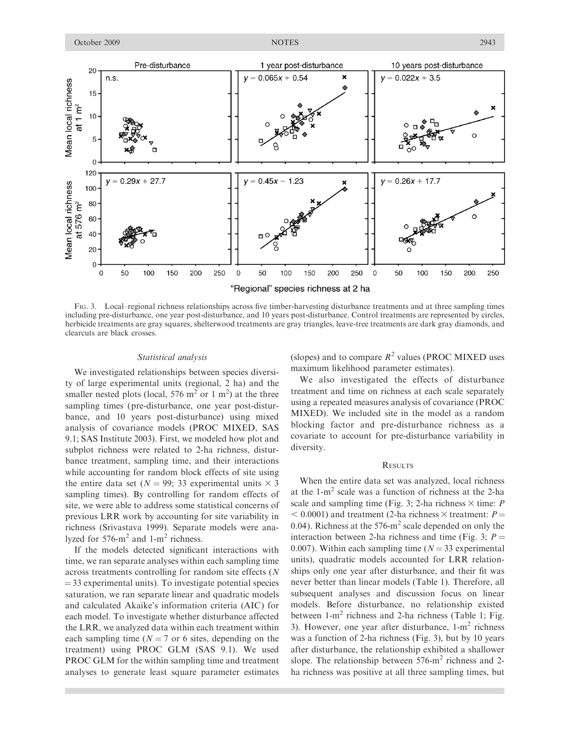

FIG. 3. Local–regional richness relationships across five timber-harvesting disturbance treatments and at three sampling times including pre-disturbance, one year post-disturbance, and 10 years post-disturbance. Control treatments are represented by circles, herbicide treatments are gray squares, shelterwood treatments are gray triangles, leave-tree treatments are dark gray diamonds, and clearcuts are black crosses.

#### Statistical analysis

We investigated relationships between species diversity of large experimental units (regional, 2 ha) and the smaller nested plots (local, 576 m<sup>2</sup> or 1 m<sup>2</sup>) at the three sampling times (pre-disturbance, one year post-disturbance, and 10 years post-disturbance) using mixed analysis of covariance models (PROC MIXED, SAS 9.1; SAS Institute 2003). First, we modeled how plot and subplot richness were related to 2-ha richness, disturbance treatment, sampling time, and their interactions while accounting for random block effects of site using the entire data set ( $N = 99$ ; 33 experimental units  $\times$  3 sampling times). By controlling for random effects of site, we were able to address some statistical concerns of previous LRR work by accounting for site variability in richness (Srivastava 1999). Separate models were analyzed for  $576 \text{--} m^2$  and  $1 \text{--} m^2$  richness.

If the models detected significant interactions with time, we ran separate analyses within each sampling time across treatments controlling for random site effects (N  $=$  33 experimental units). To investigate potential species saturation, we ran separate linear and quadratic models and calculated Akaike's information criteria (AIC) for each model. To investigate whether disturbance affected the LRR, we analyzed data within each treatment within each sampling time ( $N = 7$  or 6 sites, depending on the treatment) using PROC GLM (SAS 9.1). We used PROC GLM for the within sampling time and treatment analyses to generate least square parameter estimates (slopes) and to compare  $R^2$  values (PROC MIXED uses maximum likelihood parameter estimates).

We also investigated the effects of disturbance treatment and time on richness at each scale separately using a repeated measures analysis of covariance (PROC MIXED). We included site in the model as a random blocking factor and pre-disturbance richness as a covariate to account for pre-disturbance variability in diversity.

# **RESULTS**

When the entire data set was analyzed, local richness at the  $1-m^2$  scale was a function of richness at the 2-ha scale and sampling time (Fig. 3; 2-ha richness  $\times$  time: P  $<$  0.0001) and treatment (2-ha richness  $\times$  treatment: P = 0.04). Richness at the  $576\text{-m}^2$  scale depended on only the interaction between 2-ha richness and time (Fig. 3;  $P =$ 0.007). Within each sampling time ( $N = 33$  experimental units), quadratic models accounted for LRR relationships only one year after disturbance, and their fit was never better than linear models (Table 1). Therefore, all subsequent analyses and discussion focus on linear models. Before disturbance, no relationship existed between  $1-m^2$  richness and 2-ha richness (Table 1; Fig. 3). However, one year after disturbance,  $1-m^2$  richness was a function of 2-ha richness (Fig. 3), but by 10 years after disturbance, the relationship exhibited a shallower slope. The relationship between  $576\text{-m}^2$  richness and 2ha richness was positive at all three sampling times, but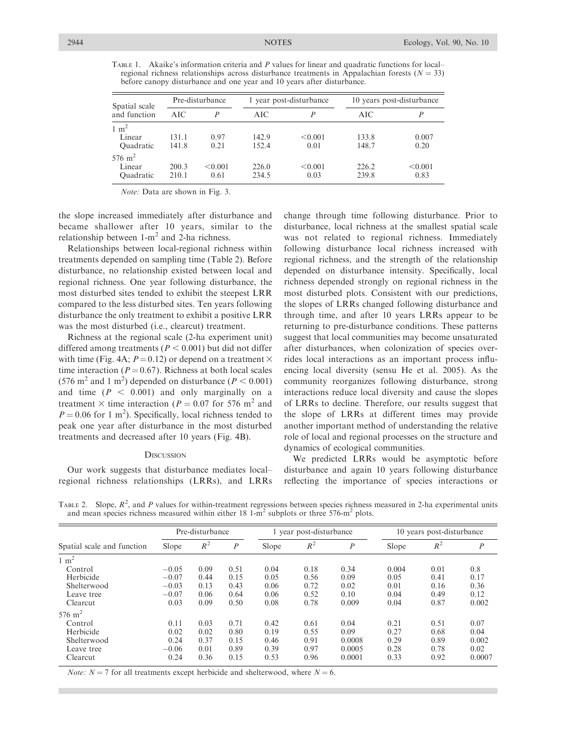TABLE 1. Akaike's information criteria and P values for linear and quadratic functions for local– regional richness relationships across disturbance treatments in Appalachian forests ( $N = 33$ ) before canopy disturbance and one year and 10 years after disturbance.

| Spatial scale<br>and function                | Pre-disturbance |                  |                | 1 year post-disturbance | 10 years post-disturbance |                 |  |
|----------------------------------------------|-----------------|------------------|----------------|-------------------------|---------------------------|-----------------|--|
|                                              | AIC.            | $\boldsymbol{p}$ | AIC            |                         | AIC                       | P               |  |
| $1 \text{ m}^2$<br>Linear<br>Quadratic       | 131.1<br>141.8  | 0.97<br>0.21     | 142.9<br>152.4 | < 0.001<br>0.01         | 133.8<br>148.7            | 0.007<br>0.20   |  |
| $576 \; \mathrm{m}^2$<br>Linear<br>Quadratic | 200.3<br>210.1  | < 0.001<br>0.61  | 226.0<br>234.5 | < 0.001<br>0.03         | 226.2<br>239.8            | < 0.001<br>0.83 |  |

Note: Data are shown in Fig. 3.

the slope increased immediately after disturbance and became shallower after 10 years, similar to the relationship between  $1-m^2$  and  $2$ -ha richness.

Relationships between local-regional richness within treatments depended on sampling time (Table 2). Before disturbance, no relationship existed between local and regional richness. One year following disturbance, the most disturbed sites tended to exhibit the steepest LRR compared to the less disturbed sites. Ten years following disturbance the only treatment to exhibit a positive LRR was the most disturbed (i.e., clearcut) treatment.

Richness at the regional scale (2-ha experiment unit) differed among treatments ( $P < 0.001$ ) but did not differ with time (Fig. 4A;  $P = 0.12$ ) or depend on a treatment  $\times$ time interaction ( $P = 0.67$ ). Richness at both local scales (576 m<sup>2</sup> and 1 m<sup>2</sup>) depended on disturbance ( $P < 0.001$ ) and time  $(P < 0.001)$  and only marginally on a treatment  $\times$  time interaction (P = 0.07 for 576 m<sup>2</sup> and  $P = 0.06$  for 1 m<sup>2</sup>). Specifically, local richness tended to peak one year after disturbance in the most disturbed treatments and decreased after 10 years (Fig. 4B).

#### **DISCUSSION**

Our work suggests that disturbance mediates local– regional richness relationships (LRRs), and LRRs change through time following disturbance. Prior to disturbance, local richness at the smallest spatial scale was not related to regional richness. Immediately following disturbance local richness increased with regional richness, and the strength of the relationship depended on disturbance intensity. Specifically, local richness depended strongly on regional richness in the most disturbed plots. Consistent with our predictions, the slopes of LRRs changed following disturbance and through time, and after 10 years LRRs appear to be returning to pre-disturbance conditions. These patterns suggest that local communities may become unsaturated after disturbances, when colonization of species overrides local interactions as an important process influencing local diversity (sensu He et al. 2005). As the community reorganizes following disturbance, strong interactions reduce local diversity and cause the slopes of LRRs to decline. Therefore, our results suggest that the slope of LRRs at different times may provide another important method of understanding the relative role of local and regional processes on the structure and dynamics of ecological communities.

We predicted LRRs would be asymptotic before disturbance and again 10 years following disturbance reflecting the importance of species interactions or

TABLE 2. Slope,  $R^2$ , and P values for within-treatment regressions between species richness measured in 2-ha experimental units and mean species richness measured within either  $18 \text{ 1-m}^2$  subplots or three 576-m<sup>2</sup> plots.

|                            | Pre-disturbance |       |                  | 1 year post-disturbance |       |                  | 10 years post-disturbance |       |                  |
|----------------------------|-----------------|-------|------------------|-------------------------|-------|------------------|---------------------------|-------|------------------|
| Spatial scale and function | Slope           | $R^2$ | $\boldsymbol{P}$ | Slope                   | $R^2$ | $\boldsymbol{P}$ | Slope                     | $R^2$ | $\boldsymbol{P}$ |
| $1 \text{ m}^2$            |                 |       |                  |                         |       |                  |                           |       |                  |
| Control                    | $-0.05$         | 0.09  | 0.51             | 0.04                    | 0.18  | 0.34             | 0.004                     | 0.01  | 0.8              |
| Herbicide                  | $-0.07$         | 0.44  | 0.15             | 0.05                    | 0.56  | 0.09             | 0.05                      | 0.41  | 0.17             |
| Shelterwood                | $-0.03$         | 0.13  | 0.43             | 0.06                    | 0.72  | 0.02             | 0.01                      | 0.16  | 0.36             |
| Leave tree                 | $-0.07$         | 0.06  | 0.64             | 0.06                    | 0.52  | 0.10             | 0.04                      | 0.49  | 0.12             |
| Clearcut                   | 0.03            | 0.09  | 0.50             | 0.08                    | 0.78  | 0.009            | 0.04                      | 0.87  | 0.002            |
| $576 \text{ m}^2$          |                 |       |                  |                         |       |                  |                           |       |                  |
| Control                    | 0.11            | 0.03  | 0.71             | 0.42                    | 0.61  | 0.04             | 0.21                      | 0.51  | 0.07             |
| Herbicide                  | 0.02            | 0.02  | 0.80             | 0.19                    | 0.55  | 0.09             | 0.27                      | 0.68  | 0.04             |
| Shelterwood                | 0.24            | 0.37  | 0.15             | 0.46                    | 0.91  | 0.0008           | 0.29                      | 0.89  | 0.002            |
| Leave tree                 | $-0.06$         | 0.01  | 0.89             | 0.39                    | 0.97  | 0.0005           | 0.28                      | 0.78  | 0.02             |
| Clearcut                   | 0.24            | 0.36  | 0.15             | 0.53                    | 0.96  | 0.0001           | 0.33                      | 0.92  | 0.0007           |

*Note:*  $N = 7$  for all treatments except herbicide and shelterwood, where  $N = 6$ .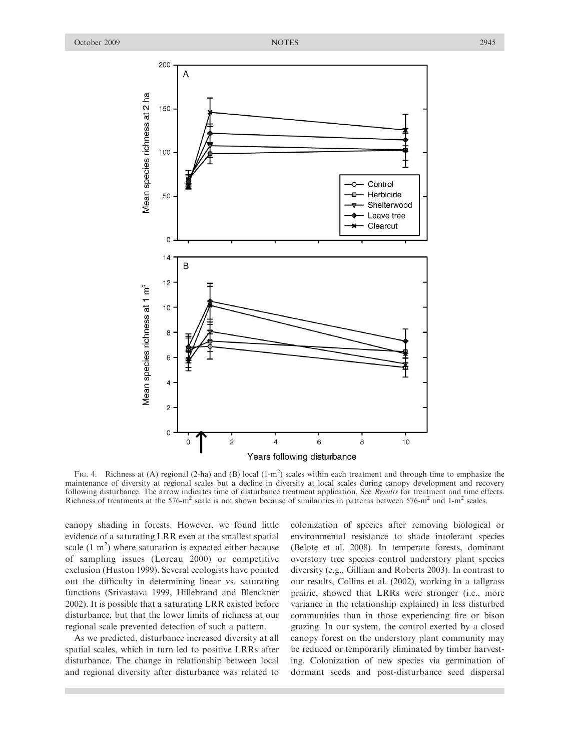

FIG. 4. Richness at (A) regional (2-ha) and (B) local  $(1-m^2)$  scales within each treatment and through time to emphasize the maintenance of diversity at regional scales but a decline in diversity at local scales during canopy development and recovery following disturbance. The arrow indicates time of disturbance treatment application. See Results for treatment and time effects. Richness of treatments at the  $576\text{-}m^2$  scale is not shown because of similarities in patterns between  $576\text{-}m^2$  and  $1\text{-}m^2$  scales.

canopy shading in forests. However, we found little evidence of a saturating LRR even at the smallest spatial scale  $(1 \text{ m}^2)$  where saturation is expected either because of sampling issues (Loreau 2000) or competitive exclusion (Huston 1999). Several ecologists have pointed out the difficulty in determining linear vs. saturating functions (Srivastava 1999, Hillebrand and Blenckner 2002). It is possible that a saturating LRR existed before disturbance, but that the lower limits of richness at our regional scale prevented detection of such a pattern.

As we predicted, disturbance increased diversity at all spatial scales, which in turn led to positive LRRs after disturbance. The change in relationship between local and regional diversity after disturbance was related to colonization of species after removing biological or environmental resistance to shade intolerant species (Belote et al. 2008). In temperate forests, dominant overstory tree species control understory plant species diversity (e.g., Gilliam and Roberts 2003). In contrast to our results, Collins et al. (2002), working in a tallgrass prairie, showed that LRRs were stronger (i.e., more variance in the relationship explained) in less disturbed communities than in those experiencing fire or bison grazing. In our system, the control exerted by a closed canopy forest on the understory plant community may be reduced or temporarily eliminated by timber harvesting. Colonization of new species via germination of dormant seeds and post-disturbance seed dispersal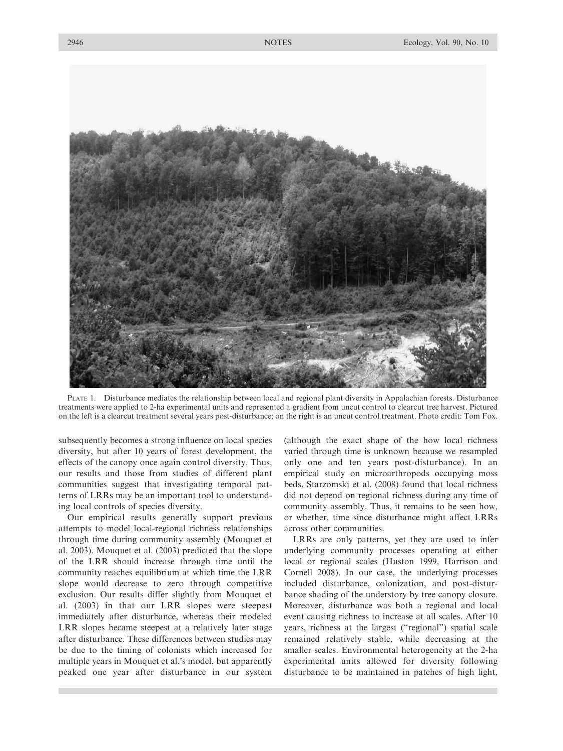

PLATE 1. Disturbance mediates the relationship between local and regional plant diversity in Appalachian forests. Disturbance treatments were applied to 2-ha experimental units and represented a gradient from uncut control to clearcut tree harvest. Pictured on the left is a clearcut treatment several years post-disturbance; on the right is an uncut control treatment. Photo credit: Tom Fox.

subsequently becomes a strong influence on local species diversity, but after 10 years of forest development, the effects of the canopy once again control diversity. Thus, our results and those from studies of different plant communities suggest that investigating temporal patterns of LRRs may be an important tool to understanding local controls of species diversity.

Our empirical results generally support previous attempts to model local-regional richness relationships through time during community assembly (Mouquet et al. 2003). Mouquet et al. (2003) predicted that the slope of the LRR should increase through time until the community reaches equilibrium at which time the LRR slope would decrease to zero through competitive exclusion. Our results differ slightly from Mouquet et al. (2003) in that our LRR slopes were steepest immediately after disturbance, whereas their modeled LRR slopes became steepest at a relatively later stage after disturbance. These differences between studies may be due to the timing of colonists which increased for multiple years in Mouquet et al.'s model, but apparently peaked one year after disturbance in our system

(although the exact shape of the how local richness varied through time is unknown because we resampled only one and ten years post-disturbance). In an empirical study on microarthropods occupying moss beds, Starzomski et al. (2008) found that local richness did not depend on regional richness during any time of community assembly. Thus, it remains to be seen how, or whether, time since disturbance might affect LRRs across other communities.

LRRs are only patterns, yet they are used to infer underlying community processes operating at either local or regional scales (Huston 1999, Harrison and Cornell 2008). In our case, the underlying processes included disturbance, colonization, and post-disturbance shading of the understory by tree canopy closure. Moreover, disturbance was both a regional and local event causing richness to increase at all scales. After 10 years, richness at the largest (''regional'') spatial scale remained relatively stable, while decreasing at the smaller scales. Environmental heterogeneity at the 2-ha experimental units allowed for diversity following disturbance to be maintained in patches of high light,